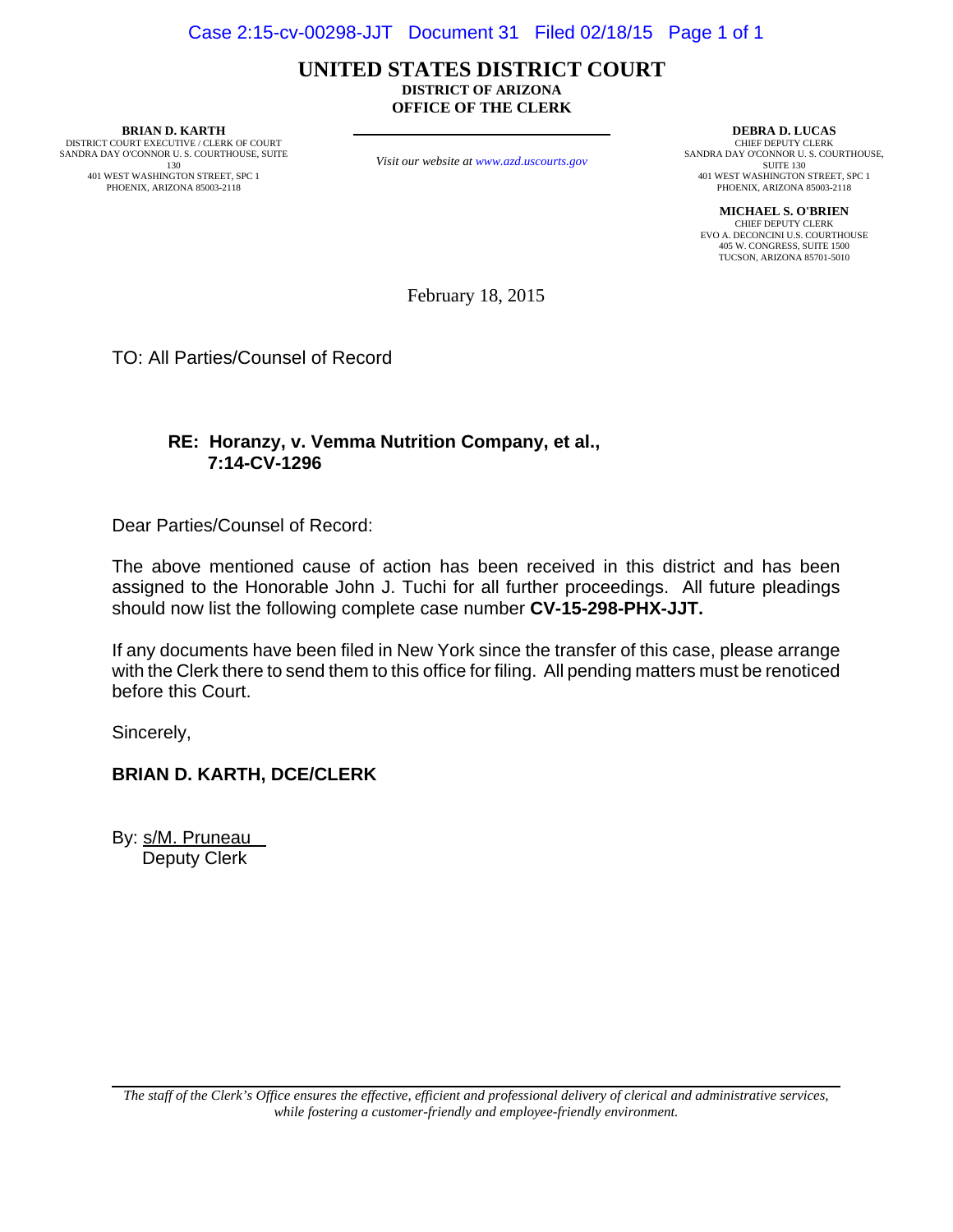#### **UNITED STATES DISTRICT COURT DISTRICT OF ARIZONA OFFICE OF THE CLERK**

**BRIAN D. KARTH** DISTRICT COURT EXECUTIVE / CLERK OF COURT SANDRA DAY O'CONNOR U. S. COURTHOUSE, SUITE 130

401 WEST WASHINGTON STREET, SPC 1 PHOENIX, ARIZONA 85003-2118

*Visit our website at www.azd.uscourts.gov*

**DEBRA D. LUCAS** CHIEF DEPUTY CLERK SANDRA DAY O'CONNOR U. S. COURTHOUSE, SUITE 130 401 WEST WASHINGTON STREET, SPC 1 PHOENIX, ARIZONA 85003-2118

**MICHAEL S. O'BRIEN** CHIEF DEPUTY CLERK EVO A. DECONCINI U.S. COURTHOUSE 405 W. CONGRESS, SUITE 1500 TUCSON, ARIZONA 85701-5010

February 18, 2015

TO: All Parties/Counsel of Record

# **RE: Horanzy, v. Vemma Nutrition Company, et al., 7:14-CV-1296**

Dear Parties/Counsel of Record:

The above mentioned cause of action has been received in this district and has been assigned to the Honorable John J. Tuchi for all further proceedings. All future pleadings should now list the following complete case number **CV-15-298-PHX-JJT.**

If any documents have been filed in New York since the transfer of this case, please arrange with the Clerk there to send them to this office for filing. All pending matters must be renoticed before this Court.

Sincerely,

## **BRIAN D. KARTH, DCE/CLERK**

By: s/M. Pruneau Deputy Clerk